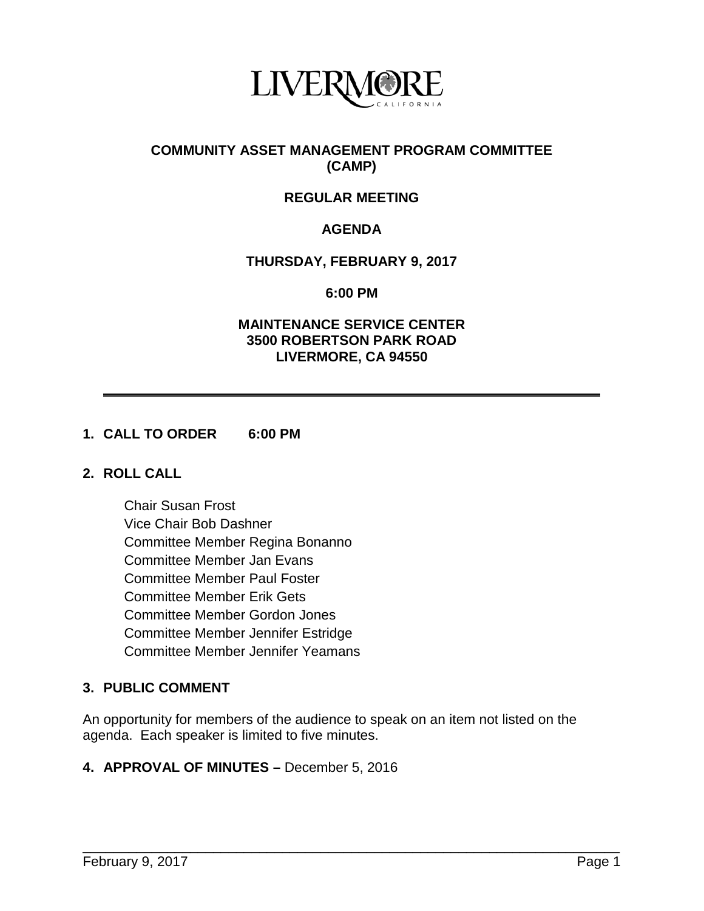

## **COMMUNITY ASSET MANAGEMENT PROGRAM COMMITTEE (CAMP)**

# **REGULAR MEETING**

# **AGENDA**

### **THURSDAY, FEBRUARY 9, 2017**

**6:00 PM**

### **MAINTENANCE SERVICE CENTER 3500 ROBERTSON PARK ROAD LIVERMORE, CA 94550**

### **1. CALL TO ORDER 6:00 PM**

#### **2. ROLL CALL**

Chair Susan Frost Vice Chair Bob Dashner Committee Member Regina Bonanno Committee Member Jan Evans Committee Member Paul Foster Committee Member Erik Gets Committee Member Gordon Jones Committee Member Jennifer Estridge Committee Member Jennifer Yeamans

# **3. PUBLIC COMMENT**

An opportunity for members of the audience to speak on an item not listed on the agenda. Each speaker is limited to five minutes.

\_\_\_\_\_\_\_\_\_\_\_\_\_\_\_\_\_\_\_\_\_\_\_\_\_\_\_\_\_\_\_\_\_\_\_\_\_\_\_\_\_\_\_\_\_\_\_\_\_\_\_\_\_\_\_\_\_\_\_\_\_\_\_\_\_\_\_\_\_\_

#### **4. APPROVAL OF MINUTES –** December 5, 2016